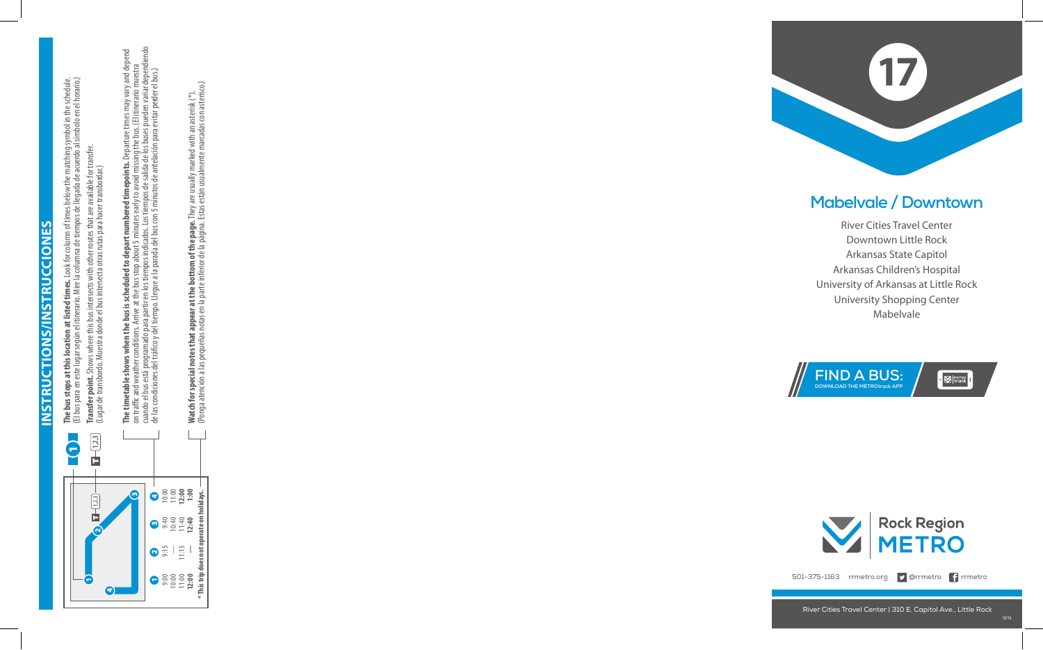**INSTRUCTIONS/INSTRUCCIONES Instructions/Instrucciones**



**The bus stops at this location at listed times.** Look for column of times below the matching symbol in the schedule. **The bus stops at this location at listed times.** Look for column of times below the matching symbol in the schedule.<br>(El bus para en este lugar según el itinerario. Mire la columna de tiempos de llegada de acuerdo al símb (El bus para en este lugar según el itinerario. Mire la columna de tiempos de llegada de acuerdo al símbolo en el horario.) **Transfer point.** Shows where this bus intersects with other routes that are available for transfer. **Transfer point.** Shows where this bus intersects with other routes that are available for transfer.<br>(Lugar de transbordo. Muestra donde el bus intersecta otras rutas para hacer transbordar.) (Lugar de transbordo. Muestra donde el bus intersecta otras rutas para hacer transbordar.) **The timetable shows when the bus is scheduled to depart numbered timepoints.** Departure times may vary and depend<br>on traffic and weather conditions. Arrive at the bus stop about 5 minutes early to avoid missing the bus. ( cuando el bus está programado para partir en los tiempos indicados. Los tiempos de salida de los buses pueden variar dependiendo **The timetable shows when the bus is scheduled to depart numbered timepoints.** Departure times may vary and depend on traffic and weather conditions. Arrive at the bus stop about 5 minutes early to avoid missing the bus. (El itinerario muestra de las condiciones del tráco y del tiempo. Llegue a la parada del bus con 5 minutos de antelación para evitar perder el bus.)

Watch for special notes that appear at the bottom of the page. They are usually marked with an asterisk (\*).<br>(Ponga atención a las pequeñas notas en la parte inferior de la página. Estas están usualmente marcadas con aster (Ponga atención a las pequeñas notas en la parte inferior de la página. Estas están usualmente marcadas con asterisco.) **Watch for special notes that appear at the bottom of the page.** They are usually marked with an asterisk (\*).



 $\cdot$   $\boxtimes$  Metro



501-375-1163 rrmetro.org **D** @rrmetro **f** rrmetro

River Cities Travel Center | 310 E. Capitol Ave., Little Rock



## **Mabelvale / Downtown**

River Cities Travel Center Downtown Little Rock Arkansas State Capitol Arkansas Children's Hospital University of Arkansas at Little Rock University Shopping Center Mabelvale

**FIND A BUS: DOWNLOAD THE METROtrack APP**